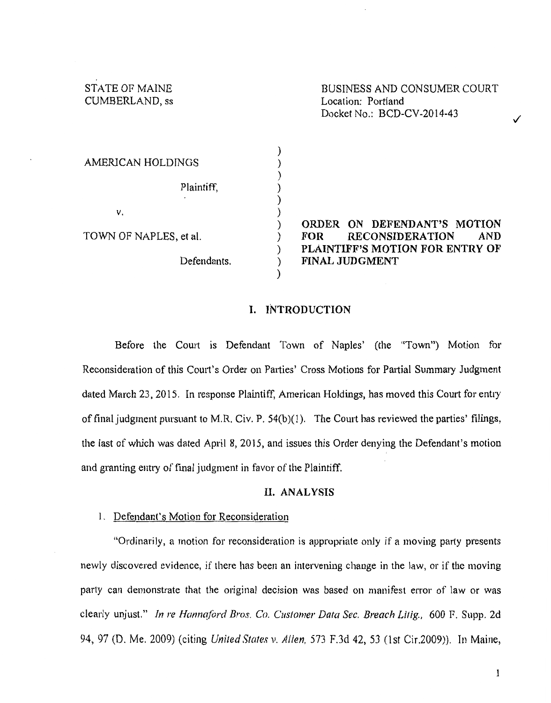STATE OF MAINE CUMBERLAND, ss

BUSINESS AND CONSUMER COURT Location: Portland Docket No.: BCD-CV -2014-43

✓

| AMERICAN HOLDINGS      |  |
|------------------------|--|
| Plaintiff,<br>٠        |  |
| ν.                     |  |
| TOWN OF NAPLES, et al. |  |
| Defendants.            |  |

ORDER ON DEFENDANT'S MOTION FOR RECONSIDERATION AND PLAINTIFF'S MOTION FOR ENTRY OF FINAL JUDGMENT

### I. INTRODUCTION

) ) ) ) ) ) ) ) ) ) )

Before the Court is Defendant Town of Naples' (the "Town") Motion for Reconsideration of this Court's Order on Parties' Cross Motions for Partial Summary Judgment dated March 23, 2015. In response Plaintiff, American Holdings, has moved this Court for entry of final judgment pursuant to M.R. Civ. P.  $54(b)(1)$ . The Court has reviewed the parties' filings, the last of which was dated April 8, 2015, and issues this Order denying the Defendant's motion and granting entry of final judgment in favor of the Plaintiff.

### II. ANALYSIS

### 1. Defendant's Motion for Reconsideration

"Ordinarily, a motion for reconsideration is appropriate only if a moving party presents newly discovered evidence, if there has been an intervening change in the law, or if the moving party can demonstrate that the original decision was based on manifest error of law or was clearly unjust." *In re Hannaford Bros. Co. Customer Data Sec. Breach Lilig.,* 600 F. Supp. 2d 94, 97 (D. Me. 2009) (citing *United States* v. *Allen.* 573 F.3d 42, 53 (1st Cir.2009)). In Maine,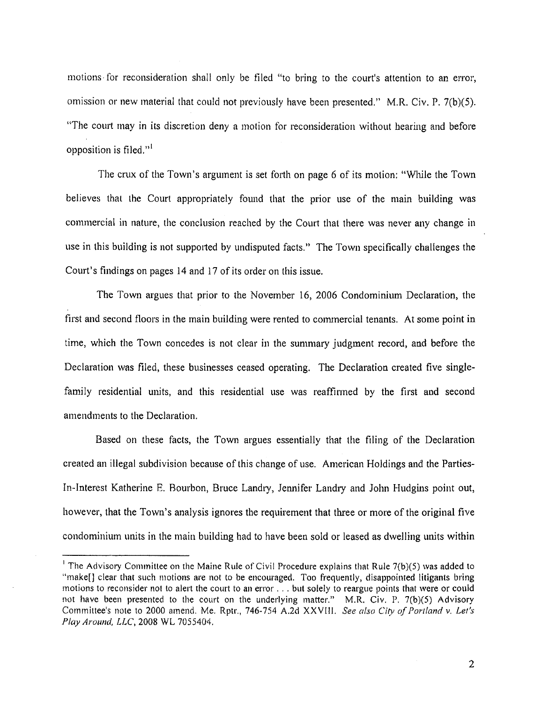motions for reconsideration shall only be filed "to bring to the court's attention to an error, omission or new material that could not previously have been presented." M.R. Civ. P. 7(b)(5). "The court may in its discretion deny a motion for reconsideration without hearing and before opposition is filed. $"$ <sup>1</sup>

The crux of the Town's argument is set forth on page 6 of its motion: "While the Town believes that the Court appropriately found that the prior use of the main building was commercial in nature, the conclusion reached by the Court that there was never any change in use in this building is not supported by undisputed facts." The Town specifically challenges the Court's findings on pages 14 and 17 of its order on this issue.

The Town argues that prior to the November 16, 2006 Condominium Declaration, the first and second floors in the main building were rented to commercial tenants. At some point in time, which the Town concedes is not clear in the summary judgment record, and before the Declaration was filed, these businesses ceased operating. The Declaration created five singlefamily residential units, and this residential use was reaffirmed by the first and second amendments to the Declaration.

Based on these facts, the Town argues essentially that the filing of the Declaration created an illegal subdivision because of this change of use. American Holdings and the Parties-In-Interest Katherine E. Bourbon, Bruce Landty, Jennifer Landry and John Hudgins point out, however, that the Town's analysis ignores the requirement that three or more of the original five condominium units in the main building had to have been sold or leased as dwelling units within

<sup>&</sup>lt;sup>1</sup> The Advisory Committee on the Maine Rule of Civil Procedure explains that Rule  $7(b)(5)$  was added to "make[] clear that such motions are not to be encouraged. Too frequently, disappointed litigants bring motions to reconsider not to alert the court to an error ... but solely to reargue points that were or could not have been presented to the court on the underlying matter." M.R. Civ. P. 7(b)(5) Advisory Committee's note to 2000 amend. Me. Rptr., 746-754 A.2d XXVIII. *See also City of Par/land v, Let's*  Play *Around,* LLC, 2008 WL 7055404.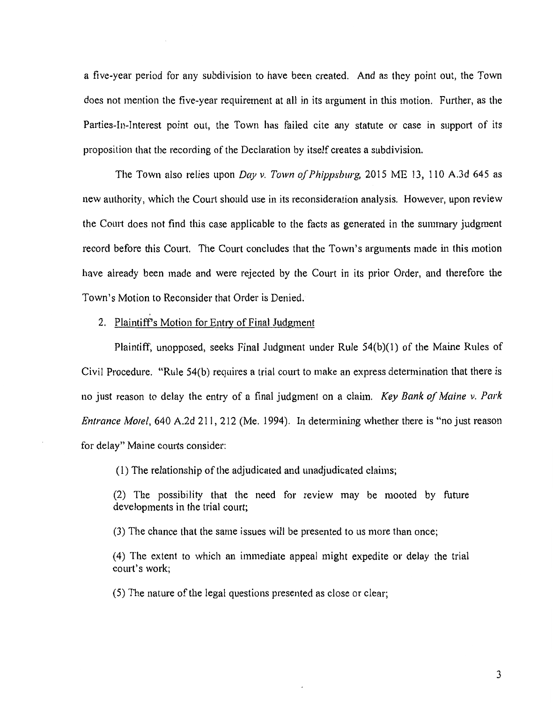a five-year period for any subdivision to have been created. And as they point out, the Town does not mention the five-year requirement at all in its argument in this motion. Further, as the Parties-In-Interest point out, the Town has failed cite any statute or case in support of its proposition that the recording of the Declaration by itself creates a subdivision.

The Town also relies upon *Day v. Town of Phippsburg*, 2015 ME 13, 110 A.3d 645 as new authority, which the Court should use in its reconsideration analysis. However, upon review the Court does not find this case applicable to the facts as generated in the summary judgment record before this Court. The Court concludes that the Town's arguments made in this motion have already been made and were rejected by the Court in its prior Order, and therefore the Town's Motion to Reconsider that Order is Denied.

2. Plaintiffs Motion for Entty of Final Judgment

Plaintiff, unopposed, seeks Final Judgment under Rule 54(b)(1) of the Maine Rules of Civil Procedure. "Rule 54(b) requires a trial court to make an express determination that there is no just reason to delay the entry of a final judgment on a claim. *Key Bank of Maine v. Park Entrance Motel,* 640 A.2d 211, 212 (Me. 1994). In determining whether there is "no just reason for delay" Maine courts consider:

( 1) The relationship of the adjudicated and unadjudicated claims;

(2) The possibility that the need for review may be mooted by future developments in the trial court;

(3) The chance that the same issues will be presented to us more than once;

( 4) The extent to which an immediate appeal might expedite or delay the trial court's work;

( 5) The nature of the legal questions presented as close or clear;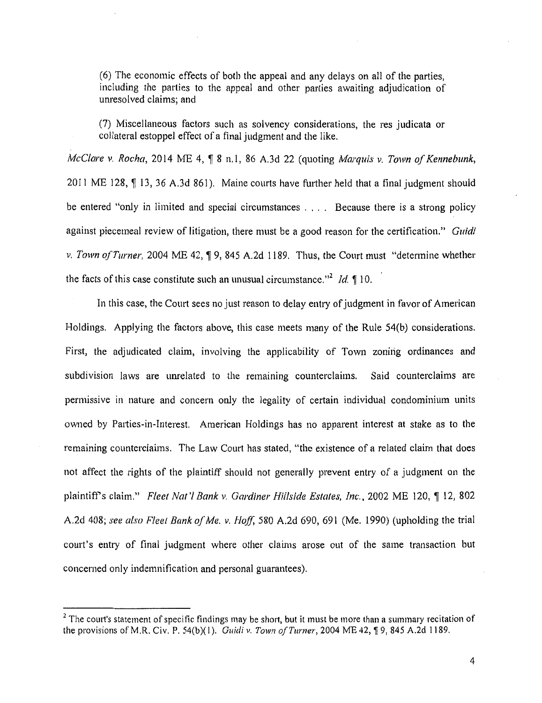(6) The economic effects of both the appeal and any delays on all of the parties, including the parties to the appeal and other parties awaiting adjudication of unresolved claims; and

(7) Miscellaneous factors such as solvency considerations, the res judicata or collateral estoppel effect of a final judgment and the like.

*McClare v. Rocha,* 2014 ME 4, ¶ 8 n.l, 86 A.3d 22 (quoting *Marquis v. Town of Kennebunk,* 2011 ME 128,  $\P$  13, 36 A.3d 861). Maine courts have further held that a final judgment should be entered "only in limited and special circumstances . . . . Because there is a strong policy against piecemeal review of litigation, there must be a good reason for the certification." *Guidi v. Town of Turner,* 2004 ME 42,  $\sqrt{9}$ , 845 A.2d 1189. Thus, the Court must "determine whether the facts of this case constitute such an unusual circumstance."<sup>2</sup> *Id.*  $\lll 10$ .

In this case, the Court sees no just reason to delay entry of judgment in favor of American Holdings. Applying the factors above, this case meets many of the Rule 54(b) considerations. First, the adjudicated claim, involving the applicability of Town zoning ordinances and subdivision laws are unrelated to the remaining counterclaims. Said counterclaims are permissive in nature and concern only the legality of certain individual condominium units owned by Parties-in-Interest. American Holdings has no apparent interest at stake as to the remaining counterclaims. The Law Court has stated, "the existence of a related claim that does not affect the rights of the plaintiff should not generally prevent entry of a judgment on the plaintiff's claim." *Fleet Nat'l Bank v. Gardiner Hillside Estates, Inc.*, 2002 ME 120, ¶ 12, 802 A.2d 408; *see also Fleet Bank of Me. v. Hoff,* 580 A.2d 690, 691 (Me. 1990) (upholding the trial court's entry of final judgment where other claims arose out of the same transaction but concerned only indemnification and personal guarantees).

 $<sup>2</sup>$  The court's statement of specific findings may be short, but it must be more than a summary recitation of</sup> the provisions of M.R. Civ. P. 54(b)(1). *Guidi v. Town of Turner*, 2004 ME 42, 19, 845 A.2d 1189.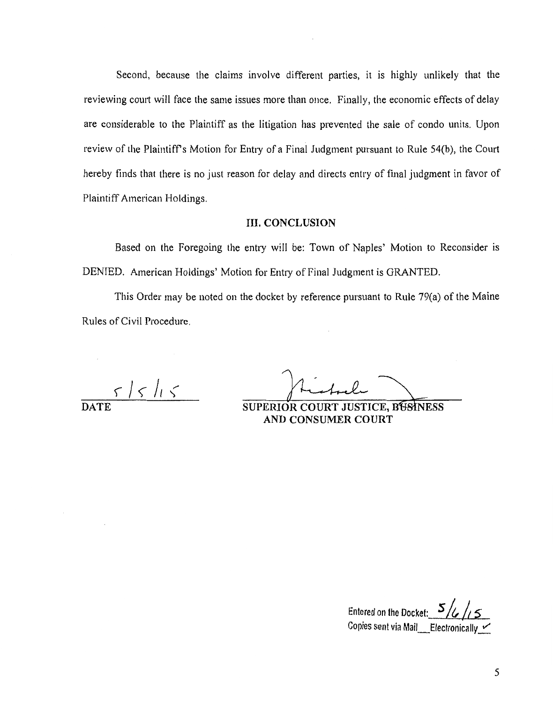Second, because the claims involve different parties, it is highly unlikely that the reviewing court will face the same issues more than once. Finally, the economic effects of delay are considerable to the Plaintiff as the litigation has prevented the sale of condo units. Upon review of the Plaintiff's Motion for Entry of a Final Judgment pursuant to Rule 54(b), the Court hereby finds that there is no just reason for delay and directs entry of final judgment in favor of Plaintiff American Holdings.

### III. CONCLUSION

Based on the Foregoing the entry will be: Town of Naples' Motion to Reconsider is DENTED. American Holdings' Motion for Entry of Final Judgment is GRANTED.

This Order may be noted on the docket by reference pursuant to Rule 79(a) of the Maine Rules of Civil Procedure.

 $51515$ 

DATE SUPERIOR COURT JUSTICE, BUSINESS AND CONSUMER COURT

Entered on the Docket: 5/6 Copies sent via Mail  $\quad$  Electronically  $\sim$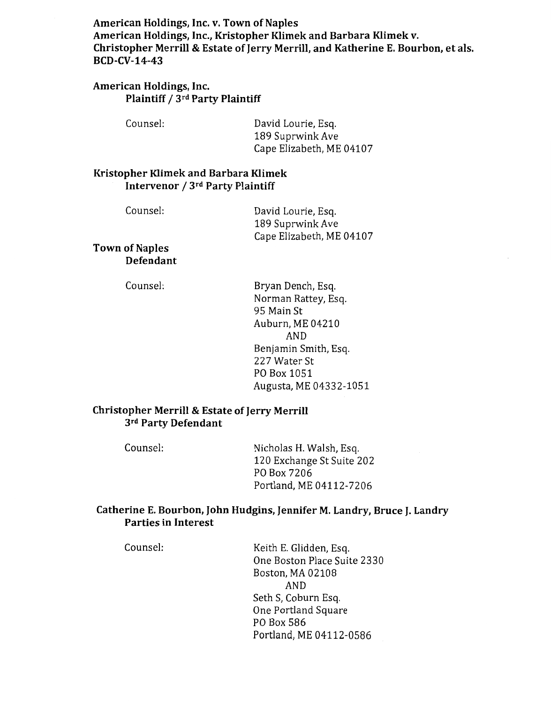**American Holdings, Inc. v. Town of Naples American Holdings, Inc., Kristopher Klimek and Barbara Klimek v. Christopher Merrill & Estate of Jerry Merrill, and Katherine E. Bourbon, et als. BCD-CV-14-43** 

# **American Holdings, Inc. Plaintiff / 3rd Party Plaintiff**

Counsel: David Lourie, Esq. 189 Suprwink Ave Cape Elizabeth, ME 04107

# **Kristopher Klimek and Barbara Klimek Intervenor** *1* Jrd **Party Plaintiff**

Counsel:

David Lourie, Esq. 189 Suprwink Ave Cape Elizabeth, ME 04107

**Town of Naples Defendant** 

Counsel:

Bryan Dench, Esq. Norman Rattey, Esq. 95 Main St Auburn, ME 04210 AND Benjamin Smith, Esq. 227 Water St PO Box 1051 Augusta, ME 04332-1051

# **Christopher Merrill & Estate of Jerry Merrill**  Jrd **Party Defendant**

Counsel: Nicholas H. Walsh, Esq. 120 Exchange St Suite 202 PO Box 7206 Portland, ME 04112-7206

# **Catherine E. Bourbon, John Hudgins, Jennifer M. Landry, Bruce J. Landry Parties in Interest**

Counsel: Keith E. Glidden, Esq. One Boston Place Suite 2330 Boston, MA 02108 AND Seth S, Coburn Esq. One Portland Square PO Box 586 Portland, ME 04112-0586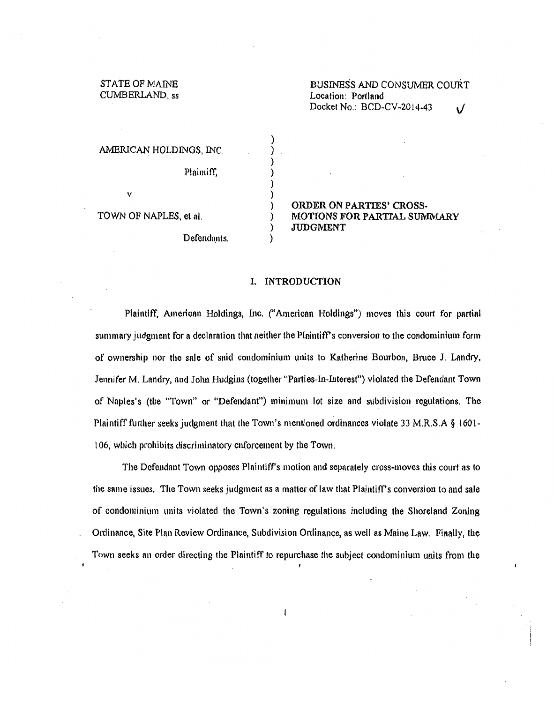STATE OF MAlNE CUMBERLAND, ss

AMERICAN HOLDINGS, INC.

Plaintiff,

TOWN OF NAPLES, et al.

v.

Defendants.

ORDER ON PARTIES' CROSS-MOTIONS FOR PARTIAL SUWIMARY JUDGMENT

### I. INTRODUCTION

) ) ) ) ) ) ) ) ) )

Plaintiff, American Holdings, Inc. ("American Holdings") moves this court for partial summary judgment for a declaration that neither the Plaintiff's conversion to the condominium form of ownership nor the sale of snid condominium units to Katherine Bourbon, Bmce J. Lnndry, Jennifer M. Landry, and John Hudgins (together "Parties-In-Interest") violated the Defendant Town of Naples's (the "Town" or "Defendant") minimum lot size and subdivision regulations. The Plaintiff further seeks judgment that the Town's mentioned ordinances violate 33 M.R.S.A § 1601 l 06, wllich prohibits discriminatory enforcement by tbe Town.

The Defendant Town opposes Plaintiff's motion and separately cross-moves this court as to the same issues. The Town seeks judgment as a matter of law that Plaintiff's conversion to and sale of condominium units violated the Town's zoning regulations including the Shoreland Zoning Ordinance, Site Plan Review Ordinance, Subdivision Ordinance, as well as Maine Law. FinaUy, the Town seeks an order directing the Plaintiff to repurchase the subject condominium units from the

1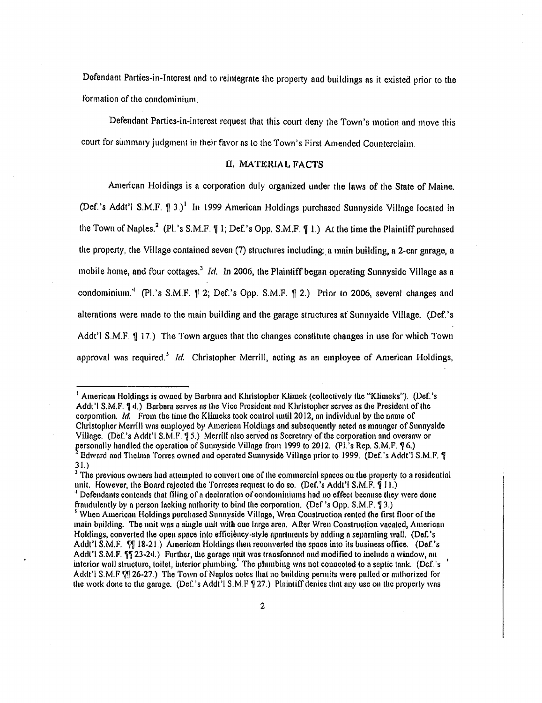Defendaut Parties-in-Interest and to reintegrate the property and buildings as it existed prior to the formation of the condominium.

Defendant Parties-in-interest request that this court deny the Town's motion and move this court for summary judgment in their favor as to the Town's First Amended Counterclaim.

### II. MATERIAL FACTS

American Holdings is a corporation duly organized under the laws of the State of Maine. (Def.'s Addt') S.M.F.  $\int$  3.)<sup>1</sup> In 1999 American Holdings purchased Sunnyside Village located in the Town of Naples.<sup>2</sup> (Pl.'s S.M.F.  $\parallel$  1; Def.'s Opp. S.M.F.  $\parallel$  1.) At the time the Plaintiff purchased the property, the Village contained seven (7) stmctures iucluding:, a main building, a 2-car garage, a mobile home, and four cottages.<sup>3</sup> *Id.* In 2006, the Plaintiff began operating Sunnyside Village as a condominium.<sup>4</sup> (Pl.'s S.M.F.  $\parallel$  2; Def.'s Opp. S.M.F.  $\parallel$  2.) Prior to 2006, several changes and alterations were made to the main building and the garage structures at Sunnyside Village. (Def.'s Addt'l S.M.F.  $\P$  17.) The Town argues that the changes constitute changes in use for which Town approval was required.<sup>5</sup> *Id.* Christopher Merrill, acting as an employee of American Holdings,

<sup>&</sup>lt;sup>1</sup> American Holdings is owned by Barbara and Khristopher Klimek (collectively the "Klimeks"). (Def.'s Addt'l S.M.F.  $\Psi$ 4.) Barbara serves as the Vice President and Khristopher serves as the President of the corporation. *Id.* From the time the Klimeks took control until 2012, an individual by the name of Christopher Merrill wns employed by Americnn Holdings nnd subsequently ncted ns wnunger of Sunnyside Village, (Def.'s Addt'l S.M.F. 95.) Merrill also served as Secretary of the corporation and oversaw or personally handled the operation of Sunnyside Village from 1999 to 2012. (Pl.'s Rep. S.M.F. **?** 6.)

<sup>&</sup>lt;sup>3</sup> Edward and Thelma Torres owned and operated Sunnyside Village prior to 1999. (Def.'s Addt'l S.M.F. ? 3 1.)

<sup>&</sup>lt;sup>3</sup> The previous owners had attempted to convert one of the commercial spaces on the property to a residential unit. However, the Board rejected the Torreses request to do so. (Def.'s Addt'i S.M.F.  $\overline{q}$  II.) <sup>4</sup> Defendants contends that filing of a declaration of condominiums had no effect because they were done

fraudulently by a person lacking authority to bind the corporation. (Def.'s Opp. S.M.F. **7** 3.) *5* When American Holdings purchased Sunnyside Village, Wren Construction rented the first floor of the

main building. The unit was a single unit with ono large area. After Wren Construction vacated, American Holdings, converted the open space into efficiency-style apartments by adding a separating wall. (Def.'s Addt'l S.M.F. <sup> $\epsilon$ </sup>[ 18-21.) American Holdings then reconverted the space into its business office. (Def.'s Addt'l S.M.F.  $\Psi$  23-24.) Further, the garage unit was transfonned and modified to include a window, an interior wall structure, toilet, interior plumbing.<sup>1</sup> The plumbing was not connected to a septic tank. (Def.'s ' Addt'l S.M.F "[1] 26-27.) The Town of Naples notes that no building permits were pulled or authorized for the work done to the garage. (Def.'s Addt'l S.M.F  $\frac{6}{3}$  27.) Plaintiff denies that any use on the property was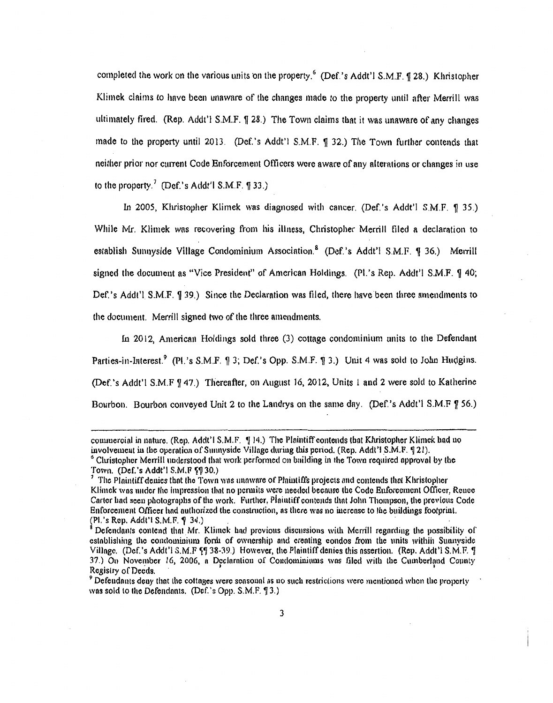completed the work on the various units on the property.<sup>6</sup> (Def.'s Addt'l S.M.F.  $\text{\$28.)}$ ) Khristopher Klimek claims to have been unaware of the changes made to the property until after Merrill was ultimately fired. (Rep. Addt'l S.M.F.  $\sqrt{28}$ .) The Town claims that it was unaware of any changes made to the property until 2013. (Def.'s Addt'l  $S.M.F. \nsubseteq 32$ .) The Town further contends that neither prior nor current Code Enforcement Officers were aware of any alterations or changes in use to the property.<sup>7</sup> (Def.'s Addt'l S.M.F.  $\P$  33.)

In 2005, Khristopher Klimek was diagnosed with cancer. (Def.'s Addt'l S.M.F. 1935.) While Mr. Klimek was recovering from his illness, Christopher Merrill filed a declaration to establish Sunnyside Village Condominium Association.<sup>8</sup> (Def.'s Addt'l S.M.F.  $\lvert \rvert$  36.) Merrill signed the document as "Vice President" of American Holdings. (Pl.'s Rep. Addt'l S.M.F.  $\parallel$  40; Def.'s Addt'l S.M.F.  $\parallel$  39.) Since the Declaration was filed, there have been three amendments to the document. Merrill signed two of the three amendments.

In 2012, American Holdings sold three (3) cottage condominium units to the Defendant Parties-in-Interest.<sup>9</sup> (Pl.'s S.M.F.  $\parallel$  3; Def.'s Opp. S.M.F.  $\parallel$  3.) Unit 4 was sold to John Hudgins. (Def.'s Addt'l S.M.F \[ 47.) Thereafter, on August 16, 2012, Units 1 and 2 were sold to Katherine Bourbon. Bourbon conveyed Unit 2 to the Landrys on the same day. (Def.'s Addt'l S.M.F 9 56.)

commercial in nature. (Rep. Addt'l S.M.F.  $\P$  14.) The Plaintiff contends that Khristopher Klimek had no involvement in the operation of Sunnyside Village during this period. (Rep. Addt'l S.M.F.  $\P$  21). <sup>6</sup> Christopher Merrill understood that work performed on building in the Town required approval by the Town. *(Def.'s Addt'l S.M.F.*  $\sqrt{9}30$ *.)* 

The Plaintiff denies that the Town was unaware of Plaintiffs projects and contends that Khristopher Klimek was under the impression that no permits were needed because the Code Enforcement Officer, Rence Corter hnd seen photographs ofthe work. Further, Piniutiff contends thnt John Thompson, the previous Code Enforcement Officer had authorized the construction, as there was no increase to the buildings footprint.<br>(Pl.'s Rep. Addt'l S.M.F. 9 34.)

<sup>&</sup>lt;sup>8</sup> Defendants contend that Mr. Klimck had previous discussions with Merrill regarding the possibility of establishing the condominium form of ownership and creating condos from the units within Sunnyside Village. (Def.'s Addt'l S.M.F ?! 38-39.) However, the Plaintiff denies this assertion. (Rep. Addt'l S.M.F. !!)<br>37.) On November 16, 2006, a Declaration of Condominiums was filed with the Cumberland County Registry of Deeds.<br><sup>9</sup> Defendants deny that the cottages were seasonal as no such restrictions were mentioned when the property

was sold to the Defendants. (Def.'s Opp.  $S.M.F. \$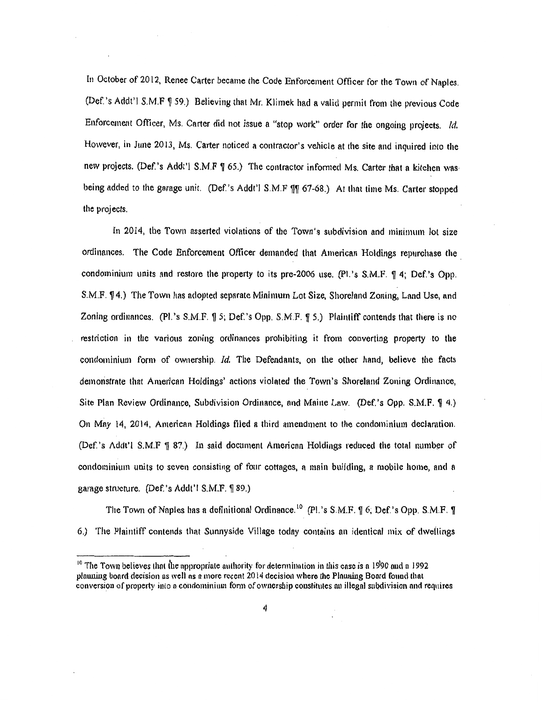In October of 2012, Renee Carter became the Code Enforcement Officer for the Town of Naples. (Def.'s Addt'l S.M.F ¶ 59.) Believing that Mr. Klimek had a valid permit from the previous Code Enforcement Officer, Ms. Carter did not issue a "stop work" order for the ongoing projects. *!d.*  However, in June 2013, Ms. Carter noticed a contractor's vehicle at the site and inquired into the new projects. (Def.'s Addt'l S.M.F ¶ 65.) The contractor informed Ms. Carter that a kitchen wasbeing added to the garage unit. (Def.'s Addt'l S.M.F \[ 67-68.) At that time Ms. Carter stopped the projects.

In 2014, the Town asserted violations of the Town's subdivision and minimum lot size ordinances. The Code Enforcement Officer demanded that American Holdings repurchase the condominium units and restore the property to its pre-2006 use. (Pl.'s S.M.F. ¶ 4; Def.'s Opp. S.M.F.  $\P$ 4.) The Town has adopted separate Minimum Lot Size, Shoreland Zoning, Land Use, and Zoning ordinances. (Pl.'s  $S.M.F.$   $\parallel$  5; Def.'s Opp.  $S.M.F.$   $\parallel$  5.) Plaintiff contends that there is no restriction in the various zoning ordinances prohibiting it from converting property to the condominium form of ownership. Id. The Defendants, on the other hand, believe the facts demonstrate that American Holdings' actions violated the Town's Shoreland Zoning Ordinance, Site Plan Review Ordinance, Subdivision Ordinance, and Maine Law. (Def.'s Opp. S.M.F.  $\P$  4.) On May 14, 2014, Ametican Holdings filed a third amendment to the condominium declaration. (Def.'s  $\Delta d d t'$  I S.M.F  $\frac{1}{3}$  87.) In said document American Holdings reduced the total number of condominium units to seven consisting of four cottages, a main building, a mobile home, nnd a garage structure. (Def.'s Addt'l S.M.F. ¶ 89.)

The Town of Naples has a definitional Ordinance.<sup>10</sup> (Pl.'s S.M.F.  $\parallel$  6; Def.'s Opp. S.M.F.  $\parallel$ 6.) The Plaintiff contends that Sunnyside Village today contains an identical mix of dweflings

 $10$  The Town believes that the appropriate authority for determination in this case is a 1990 and a 1992 planning board decision as well as a more recent 2014 decision where the Planning Board found that conversion of property into a condominium form of ownership constitutes an illegal subdivision and requires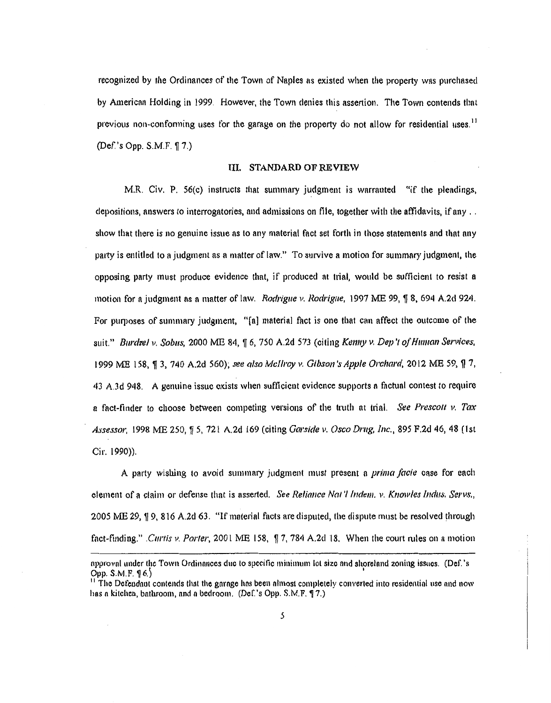recognized by the Ordinances of the Town of Nnples ns existed when the property was purchased by American Holding in 1999. However, the Town denies this assertion. The Town contends thnt previous non-conforming uses for the garage on the property do not allow for residential uses.<sup>11</sup> (Def.'s Opp. S.M.F. 17.)

#### III. STANDARD OF REVIEW

M.R. Civ. P. 56(c) instructs that summary judgment is warranted "if the pleadings, depositions, answers to interrogatories, and admissions on file, together with the affidavits, if any .. show that there is no genuine issue as to any material fact set forth in those statements and that any patty is entitled to a judgment as a matter of law." To survive a motion for summary judgment, the opposing party must produce evidence that, if produced at trial, would be sufficient to resist a motion for a judgment as a matter of law. *Rodrigue v. Rodrigue,* 1997 ME 99,  $\sqrt{\frac{1}{2}}$  8, 694 A.2d 924. For purposes of summary judgment, "[a] material fact is one that can affect the outcome of the suit." *Burdzel v. Sobus,* 2000 ME 84, ¶ 6, 750 A.2d 573 (citing Kenny *v. Dep't of Human Services,* 1999 ME 158, ¶ 3, 740 A.2d 560); see also McIlroy v. Gibson's Apple Orchard, 2012 ME 59, ¶ 7, 43 A.3d 948. A genuine issue exists when sufficient evidence supports a factual contest to require a fnct-ftnder to choose between competing versions of the truth nt trial. *Sue Presco/1 v. Ta.r*  Assessor, 1998 ME 250,  $\frac{1}{3}$  5, 721 A.2d 169 (citing *Garside v. Osco Drug, Inc.*, 895 F.2d 46, 48 (1st Cir. 1990)).

A pArty wishing to avoid summary judgment must present a *prima facie* case for each element of a claim or defense that is asserted. *See Reliance Nat '1/ndem. v. Knowles Indus. Servs.,*  2005 ME 29,  $\P$  9, 816 A.2d 63. "If material facts are disputed, the dispute must be resolved through fact-finding." *.Curtis v. Porter*, 2001 ME 158,  $\int$  7, 784 A.2d 18. When the court rules on a motion

npprovnl under the Town Ordinonces due to specific minimum lot size nnd shorelnnd zoning issues. (Def. 's Opp.  $S.M.F. \S 6.$ 

<sup>&</sup>lt;sup>11</sup> The Defendant contends that the garage has been almost completely converted into residential use and now has a kitcheu, bathroom, and a bedroom. (Def.'s Opp. S.M.F. 17.)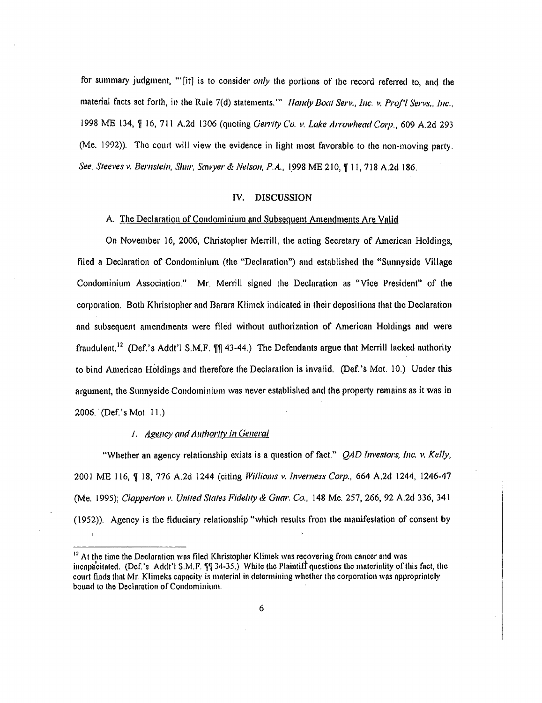for summary judgment, "'[it] is to consider *only* the portions of the record referred to, and the material facts set forth, in the Rule 7(d) statements."" *Handy Boat Serv., Inc. v. Prof'l Servs., Inc.,* 1998 ME 134,  $\frac{6}{3}$  16, 711 A.2d 1306 (quoting *Gerrity Co. v. Lake Arrowhead Corp., 6*09 A.2d 293 (Me. 1992)). The court will view the evidence in light most favorable to the non-moving party. *See, Steeves v. Bernstein, Shm; Sawyer & Nelson, P.A.,* 1998 ME 210, ¶ 11, 718 A.2d 186.

#### IV. DISCUSSION

### A. The Declaration of Condominium and Subsequent Amendments Are Valid

On November 16, 2006, Christopher Merrill, the acting Secretary of American Holdings, filed a Declaration of Condominium (the "Declaration") and established the "Sunnyside Village Condominium Association." Mr. Merrill signed the Declaration as "Vice President" of the corporation. Both Khristopher and Barara Klimek indicated in their depositions that the Declaration and subsequent amendments were filed without authorization of American Holdings nnd were fraudulent.<sup>12</sup> (Def.'s Addt'l S.M.F.  $\P$  $\P$  43-44.) The Defendants argue that Merrill lacked authority to bind American Holdings and therefore the Declaration is invalid. (Def.'s Mot. 10.) Under this argument, the Sunnyside Condominium was never established and the property remnins as it wns in 2006. (Def. 's Mot. 11.)

#### 1. Agency and Authority in General

"Whether an agency relationship exists is a question of fact." *QAD Investors, Inc. v. Kelly,*  2001 ME 116, ~ 18, 776 A.2d 1244 (citing *Williams v. lnvemess C01p.,* 664 A.2d 1244, 1246-47 (Me. 1995); *Clapperton v. United States Fidelity & Guar. Co.*, 148 Me. 257, 266, 92 A.2d 336, 341 (1952)). Agency is the fiduciary relationship "which results from the manifestation of consent by

 $<sup>12</sup>$  At the time the Declaration was filed Khristopher Klimek was recovering from cancer and was</sup> incnpncitated. (Dcf.'s Addt'l S.M.F.  $\Pi$  34-35.) While the Plaintiff questions the materiality of this fact, the court finds that Mr. Klimeks capacity is material in determining whether the corporation was appropriately bound to the Declaration of Condominium.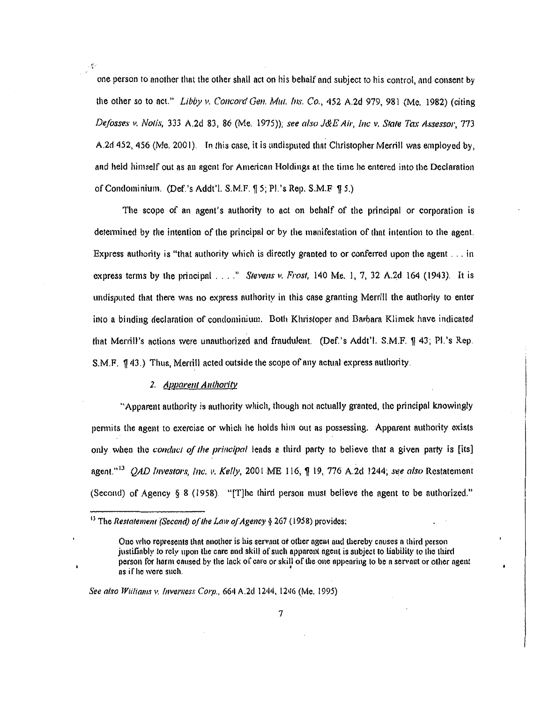one person to another that the other shall act on his behalf ond subject to his control, and consent by the other so to act." *Libby v. Concord Gen. Mut. Ins. Co.*, 452 A.2d 979, 981 (Me. 1982) (citing *Defosses v. Notis,* 333 A.2d 83, 86 (Me. 1975)); *see also J&E Air, Inc v. Stale Tax Assessor,* 773 A.2d 452, 456 (Me. 2001). In this case, it is undisputed that Christopher Merrill was employed by, and held himself out as an agent for American Holdings at the time he entered into the Declaration of Condominium. (Def.'s Addt'l. S.M.F.  $\parallel$  5; Pl.'s Rep. S.M.F  $\parallel$  5.)

The scope of an agent's authority to act on behalf of the principal or corporation is determined by the intention of the principal or by the manifestation of that intention to the agent. Express authority is "that authority which is directly granted to or conferred upon the agent ... in express terms by the principal .... " *Stevens v. Frost,* 140 Me. J, 7, 32 A.2d 164 (1943). It is undisputed that there was no express authority in this case granting Merrill the authority to enter into a binding declaration of condominium. Both Khristoper and Barbara Klimek have indicated that Merrill's actions were unauthorized and fraudulent. (Def.'s Addt'l. S.M.F. ¶ 43; Pl.'s Rep. S.M.F.  $\oint$  43.) Thus, Merrill acted outside the scope of any actual express authority.

#### 2. *Apparent Authority*

"Apparent authority is authority which, though not actually granted, the principal knowingly permits the agent to exercise or which he holds him out as possessing. Apparent authority exists only when the *conduct of the principal* leads a third party to believe that a given party is [its] agent."<sup>13</sup> *OAD Investors, Inc. v. Kelly,* 2001 ME 116,  $\parallel$  19, 776 A.2d 1244; see also Restatement (Second) of Agency § 8 (1958). "[T]he third person must believe the agent to be authorized."

See also Williams *v. Inverness Corp.*, 664 A.2d 1244, 1246 (Me. 1995)

<sup>&</sup>lt;sup>13</sup> The *Restatement (Second) of the Law of Agency* § 267 (1958) provides:

One who represents that another is his servant or other agent and thereby causes a third person justillnbly to rely upon the core and skill of such apparent ngent is subject to liability to the third person for harm caused by the lack of care or skill of the one appearing to be a servant or other agent ns if he were such.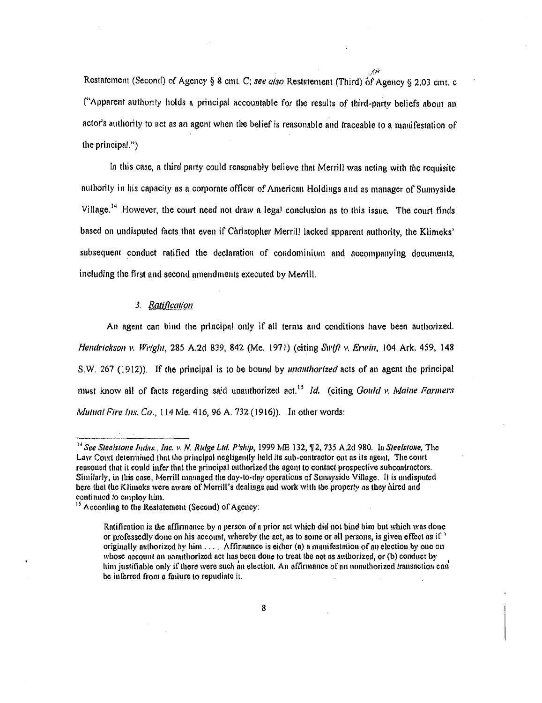Restatement (Second) of Agency § 8 cmt. C; see also Restatement (Third) of Agency § 2.03 cmt. c ("Apparent authority holds a principnl accountable for the results of third-party beliefs about an actor's authority to act as an agent when the belief is reasonable and traceable to a manifestation of the principal.")

In this case, a third party could reasonably believe that Merrill was acting with the requisite authority in his capacity as n corporate officer of American Holdings and as manager of Sunnyside Village.<sup>14</sup> However, the court need not draw a legal conclusion as to this issue. The court finds based on undisputed facts that even if Christopher Merrill lacked apparent authority, the Klimeks' subsequent conduct ratified the declaration of condominium and accompanying documents, including the first and second amendments executed by Merrill.

#### 3. Ratification

An agent can bind the principal only if all terms and conditions have been authorized. *Hendrickson* 11. *Wright,* 285 A.2d 839, 842 (Me. 1971) (citing *Swtjt v. Erwin,* 104 Ark. 459, 148 S. W. 267 ( 1912)). If the principal is to be bound by *unauthorized* acts of au agent the principal must know all of fncts regarding said unauthorized act. <sup>15</sup>*!d.* (citing *Gould v. Maine Fanners Mutual Fire Ins. Co., 114 Me. 416, 96 A. 732 (1916)).* In other words:

<sup>&</sup>lt;sup>14</sup> See Steelstone Indus., Inc. v. N. Ridge Ltd. P'ship, 1999 ME 132,  $92$ , 735 A.2d 980. In Steelstone, The Law Court determined that the principal negligently held its sub-contractor out as its agent. The court reasoned that it could infer that the principal authorized the agent to contact prospective subcontractors. Similarly, in this case, Merrill managed the day-to-day operations of Sunnyside Village. It is undisputed here that the Klimeks were aware of Merrill's dealings and work with the property as they hired and continued to employ him.

 $15$  According to the Restatement (Second) of Agency:

Ratification is the affirmance by a person of a prior act which did not bind him but which was done or professedly done on his account, whereby the act, as to some or all persons, is given effect as if originally authorized by him  $\dots$ . Affirmance is either (a) a manifestation of an election by one on whose account an unauthorized act has been done to treat the act as authorized, or (b) conduct by him justifiable only if there were such an election. An affirmance of an unauthorized transaction can be inferred from a failure to repudiate it.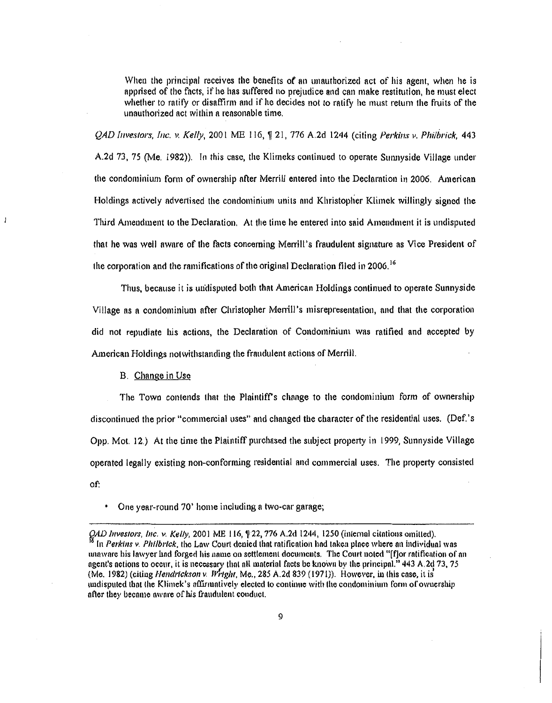When the principal receives the benefits of an unauthorized act of his agent, when he is apprised of the facts, if he has suffered no prejudice and can make restitution, he must elect whether to ratify or disaffirm and if he decides not to ratify he must return the fruits of the unauthorized act within a reasonable time.

*QAD Investors, Inc. v. Kelly, 2001 ME 116, ff 21, 776 A.2d 1244 (citing Perkins v. Philbrick, 443* A.2d 73, 75 (Me. 1982)). In this case, the Klimeks continued to operate Sunnyside Village under the condominium form of ownership after Merrill entered into the Declnrntion in 2006. American Holdings actively advertised the condominimn units and Khristoplier Klimek willingly signed the Third Amendment to the Declaration. At the time he entered into said Amendment it is undisputed that he was well aware of the facts concerning Merrill's fraudulent signature as Vice President of the corporation and the ramifications of the original Declaration filed in 2006.<sup>16</sup>

Thus. because it is uridisputed both that American Holdings continued to operate Sunnyside Village as a condominium after Christopher Merrill's misrepresentation, and that the corporation did not repudiate his actions, the Declaration of Condominium was ratified and accepted by American Holdings notwithstanding the fraudulent actions of Merrill.

B. Change in Use

ł

The Town contends that the Plnintifrs chnnge to the condominium form of ownership discontinued the prior "commercial uses" and changed the character of the residential uses. (Def. 's Opp. Mot. 12.) At the time the Plaintiff purchased the subject property in 1999, Sunnyside Village operated legally existing non-conforming residential and commercial uses. The property consisted of:

One year-round 70' home including a two-car garage;

*QAD Investors, Inc. v. Kelly,* 2001 ME 116,  $\sqrt{22}$ , 776 A.2d 1244, 1250 (internal citations omitted). In Perkins v. Philbrick, the Law Court denied that ratification had taken place where an individual was unaware his lawyer had forged his name on settlement documents. The Court noted "[f]or ratification of an ngent's actions to occur, it is necessary that all material facts be known by the principal." 443 A.2d 73, 75 (Me. 1982) (citiug *Nend11ckson v.* 1J *rtgJu,* Me., 285 A.2d 839 ( 1971)). However. iu this case, it is undisputed that the Klimek's affirmatively elected to continue with the condominium form of ownership nfler they became ownre of his fraudulent conduct.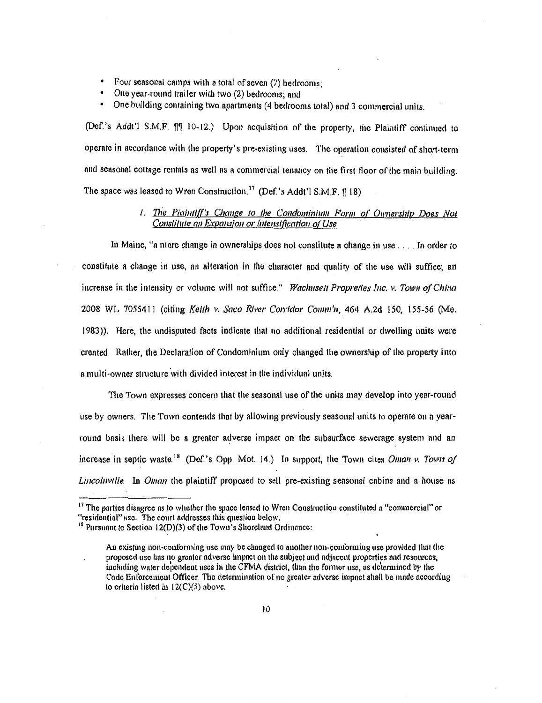- Four seasonal camps with a total of seven (7) bedrooms;
- One year-round trailer with two (2) bedrooms; and
- One building containing two apartments (4 bedrooms total) and 3 commercial units .

(Def.'s Addt'l S.M.F.  $\llbracket \llbracket$  10-12.) Upon acquisition of the property, the Plaintiff continued to operate in accordance with the property's pre-existing uses. The operation consisted of short-term and seasonal cottage rentals as well as a commercial tenancy on the first floor of the main building. The space was leased to Wren Construction.<sup>17</sup> (Def.'s Addt'l S.M.F.  $\{$  18)

### *1. The Plaintiff's Change to the Condominium Form o( Ownership Does Not Constitute an Expansion or Intensification o( Use*

In Maine, "a mere change in ownerships does not constitute a change in use .... In order to constitute a change in use, an alteration in the character aud qunlity of the use will suffice; an increase in the intensity or volume will not suffice." *Wachuselt Proprctfes Inc. v. Town of Chinct*  2008 WL 7055411 (citing *Keith v. Saco River Corridor Comm'n,* 464 A.2d 150, 155-56 (Me. 1983)). Here, the undisputed facts indicate that no additional residential or dwelling units were created. Rather, the Declaration of Condominium only changed the ownership of the property into a multi-owner structure with divided interest in the individual units.

The Town expresses concern that the seasonal use of the units may develop into year-round use by owners. The Town contends that by allowing previously seasonal units to operate on a year· round basis there will be a greater adverse impact on the subsurface sewerage system and an increase in septic waste.<sup>18</sup> (Def.'s Opp. Mot. 14.) In support, the Town cites *Oman v. Town of Lincolnville.* In *Oman* the plaintiff proposed to sell pre-existing seasonal cabins and a house as

<sup>&</sup>lt;sup>17</sup> The parties disagree as to whether the space leased to Wren Construction constituted a "commercial" or "residential" or "residential" use. The court addresses this question below.

 $<sup>18</sup>$  Pursuant to Section 12(D)(3) of the Town's Shoreland Ordinance:</sup>

An existing non-conforming use may be changed to another non-conforming use provided that the proposed usc hns no grenter ndverse impnct on the subject nnd ndjncent properties nnd resources, including water dependent uses in the CFMA district, than the former use, as determined by the Code Enforcement Officer. The determination of no greater adverse impact shall be made according to criteria listed in  $12(C)(5)$  above.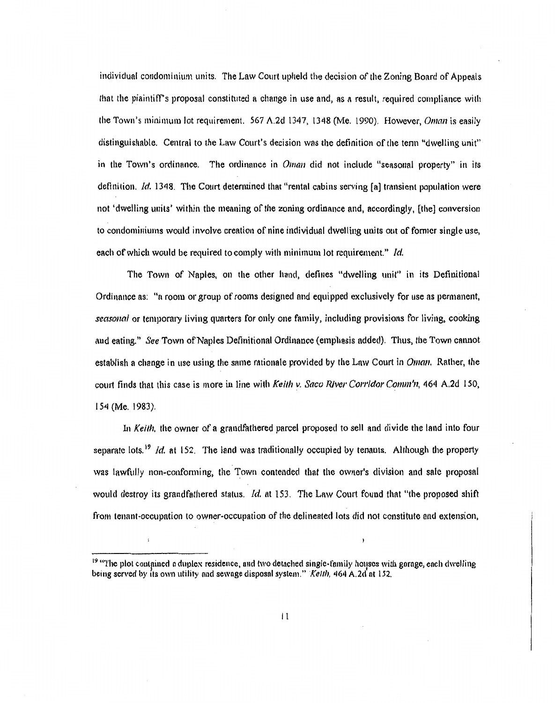individual condominium units. The Law Court upheld the decision of the Zoning Board of Appeals that the plaintiff's proposal constituted a change in use and, as a result, required compliance with the Town's minimum lot requirement. 567 A.2d 1347, 1348 (Nie. 1990). However, *Oman* is easily distinguishable. Central to the Law Court's decision was the definition of the tenn "dwelling unit" in the Town's ordinance. The ordinance in *Oman* did not include "seasonal property" in its definition. *!d.* 1348. The Court determined that "rental cabins serving [a] transient population were not 'dwelling units' within the meaning of the zoning ordinance and, accordingly, [the] conversion to condominiums would involve creation of nine individual dwelling units out of former single use, each of which would be required to comply with minimum lot requirement." */d.* 

The Town of Naples, on the other hand, defines "dwelling unit" in *its* Definitional Ordinance as: "a room or group of rooms designed fmd equipped exclusively for use as permanent, *seasonal* or temporary living quarters for only one family, including provisions for living, cooking and eating." *See* Town of Naples Definitional Ordinance (emphasis added). Thus, the Town cannot establish a change in use using the same rationale provided by the Law Court in *Oman.* Rather, the court finds that this case is more in line with *Keith v. Saco River Corridor Comm'n,* 464 A.2d 150, 154 (Me. 1983).

In *Keith*, the owner of a grandfathered parcel proposed to sell and divide the land into four separate lots.<sup>19</sup> *Id.* at 152. The land was traditionally occupied by tenants. Although the property was lawfully non-conforming, the Town contended that the owner's division and sale proposal would destroy its grandfathered status. *!d.* at 153. The Law Court found that "the proposed shift from tenant-occupation to owner-occupation of the delineated lots did not constitute and extension,

<sup>&</sup>lt;sup>19</sup> "The plot contained a duplex residence, and two detached single-family houses with garage, each dwelling being served by its own utility and sewage disposal system." Ketth, 464 A.2d at 152.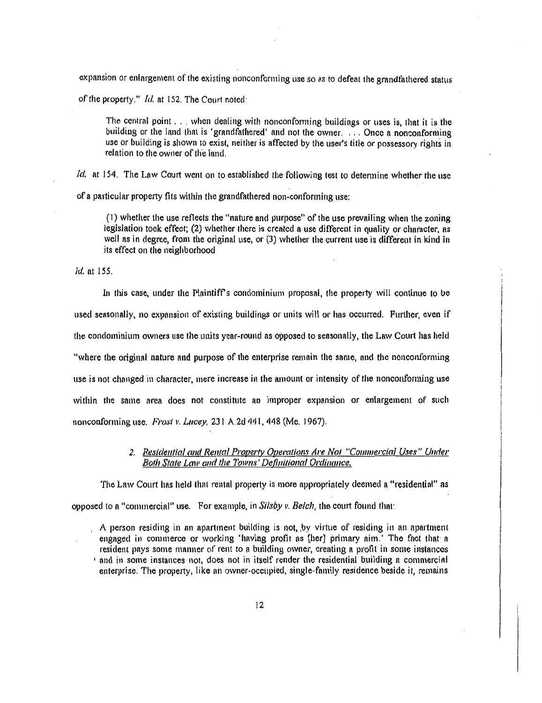expnnsion or enlargement of the existing nonconforming use so as to defeat the grandfathered status

of the property." *!d.* at 152. The Court noted:

The central point ... when denling with nonconfonning buildings or uses is, that it is the building or the land that is 'grandfathered' and not the owner. ... Once a nonconforming use or building is shown to exist, neither is affected by the user's title or possessory rights in relation to the owner of th'e land.

*ld.* at 154. The Law Court went on to established the following test to detennine whether the use of a particular property fits within the grandfathered non-conforming use:

(I) whether the use reflects the "nature and purpose" of the use prevailing when the zoning legislation took effect; (2) whether there is created a use different in quality or character, as well as in degree, from the original use, or (3) whether the current use is different in kind in its effect on the neighborhood

*Id.* nt 155.

In this case, under the Plaintiff's condominium proposal, the property will continue to be used seasonally, no expansion of existing buildings or units will or has occurred. Further, even if the condominium owners use the units year-round as opposed to seasonally, the Law Court has held "where the original nature and purpose of the enterprise remain the snme, and the nonconforming use is not changed in character, mere increase in the amount or intensity of the nonconforming use within the same area does not constitute an improper expansion or enlargement of such nonconforming use. *Frost v. Lucey,* 231 A.2d 441, 448 (Me. 1967).

### *2. Residential and Rental Property Operations Are Not "Commercial Uses'' Under Both Stale Law and the Towns' Definitional Ordinance.*

The Law Court has held that rental property is more appropriately deemed a "residential" as opposed to a "commercial" use. For example, in Silsby *v. Belch*, the court found that:

A person residing in an apartment building is not, by virtue of residing in an apartment engaged in commerce or working 'having profit as [her] primary aim.' The fact that a resident pays some manner of rent to a building owner, creating a profit in some instances  $\cdot$  and in some instances not, does not in itself render the residential building a commercial enterprise. The property, like an owner-occupied, single-family residence beside it, remains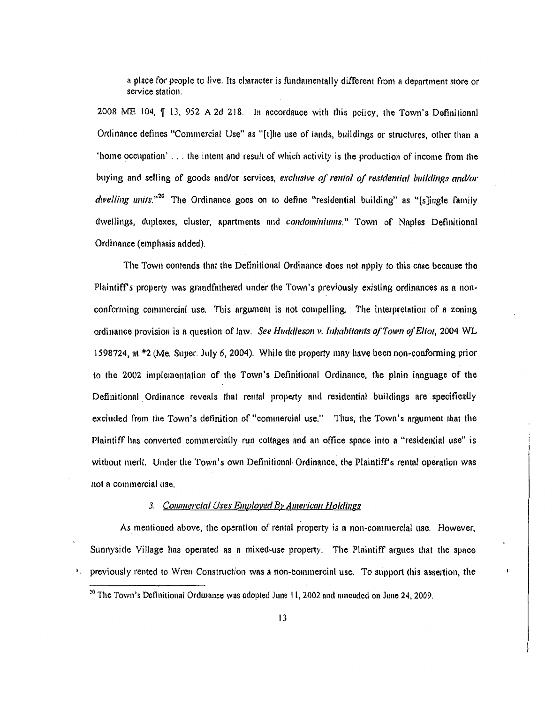a place for people to live. Its character is fundamentally different from a department store or service station.

2008 ME 104,  $\parallel$  13, 952 A 2d 218. In accordance with this policy, the Town's Definitional Ordinance defines "Commercial Use" as "[t]he use of lands, buildings or stluctures, other than a 'home occupation' ... the intent and result of which activity is the production of income from the buying and selling of goods and/or services, *exclusive of rental of residential buildings and/or dwelling units.*<sup>20</sup> The Ordinance goes on to define "residential building" as "[s]ingle family dwellings, duplexes, cluster, apartments nnd *condominiums."* Town of Nnples Definitional Ordinance (emphasis added).

The Town contends that the Definitional Ordimmce does not apply to this case because the Plaintiff's property was grandfathered under the Town's previously existing ordinances as a nonconforming commercial use. This argument is not compelling. The interpretation of a zoning ordinance provision is a question of law. *See Huddleson v. Inhabitants of Town of Eliot*, 2004 WL 1598724, at \*2 (Me. Super. July 6, 2004). While the property may have been non-conforming prior to the 2002 implementation of the Town's Definitional Ordinance, the plnin language of the Definitional Ordinance reveals that rental property and residential buildings are specifically excluded from the Town's definition of "commercial use." Thus, the Town's argument that the Plaintiff has converted commercially run cottages and nn office space into a "residential use" is without merit. Under the Town's own Definitional· Ordinance, the Plaintiff's rental operation was not a commercial use.

### <sup>3</sup> *Commercial Uses Employed By American Holdings*

As mentioned above, the operation of rental property is n non-commercial use. However, Sunnyside Village has operated as a mixed-use property. The Plaintiff argues that the spnce <sup>1</sup>. previously rented to Wren Construction was a non-commercial use. To support this assertion, the

<sup>&</sup>lt;sup>20</sup> The Town's Definitional Ordinance was adopted June 11, 2002 and amended on June 24, 2009.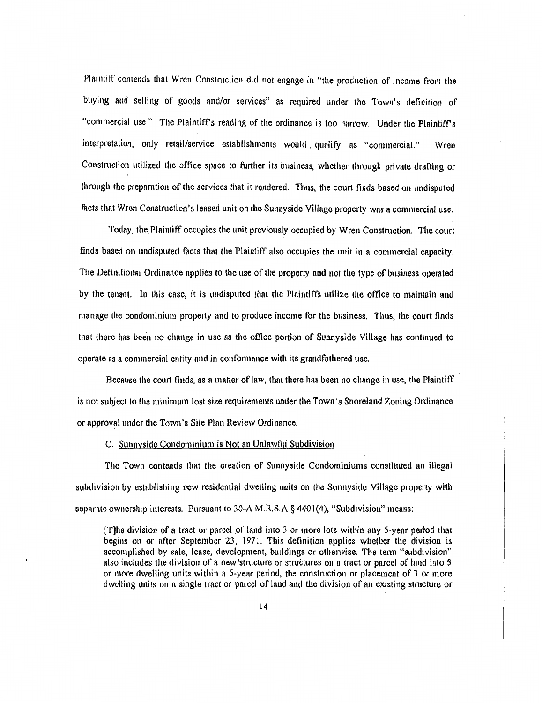Plaintiff contends that Wren Construction did not engage in "the production of income from the buying and selling of goods and/or services" as required under the Town's definition of "commercial use." The Plaintiff's reading of the ordinance is too narrow. Under the Plaintiff's interpretation, only retail/service establishments would. qualify ns "commercial." Wren Construction utilized the office space to further its business, whether through private drafting or through the preparation of the services that it rendered. Thus, the court finds based on undisputed facts thnt Wren Construction's lensed unit on the Sunnyside Village property was n commercial use.

Today, the Plaintiff occupies the unit previously occupied by Wren Construction. The court finds based on undisputed facts that the Plaintiff also occupies the unit in n commercial capacity. The Definitional Ordimmce npplies to the use of the property nnd not the type of business operated by the tenant. In this case, it is undisputed that the Plaintiffs utilize the office to maintain and manage the condominium property and to produce income for the business. Thus, the court finds that there has been no change in use as the office portion of Sunnyside Village has continued to operate as a commercial entity and in confonnance with its grandfathered use.

Because the court finds, ns a matter of law, that there has been no change in use, the Plaintiff is not subject to the minimum lost size requirements under the Town's Shoreland Zoning Ordinance or approval under the Town's Site Plan Review Ordinance.

### C. Sunnyside Condominium is Not an Unlawful Subdivision

The Town contends that the creation of Sunnyside Condominiums constituted an illegal subdivision by establishing new residential dwelling units on the Sunnyside Village property with separate ownership interests. Pursuant to 30-A M.R.S.A  $\S$  4401(4), "Subdivision" means:

[T]he division of a tract or parcel of land into 3 or more lots within any 5-year period that begins on or after September 23, 1971. This definition applies whether the division is accomplished by sale, lease, development, bulldings or otherwise. The tenn "subdivision" also includes the division of a new 'structure or structures on a tract or parcel of land into 3 or more dwelling units within a 5-year period, the constmction or placement of 3 or more dwelling units on n single tract or parcel of land and the division of an existing stmcture or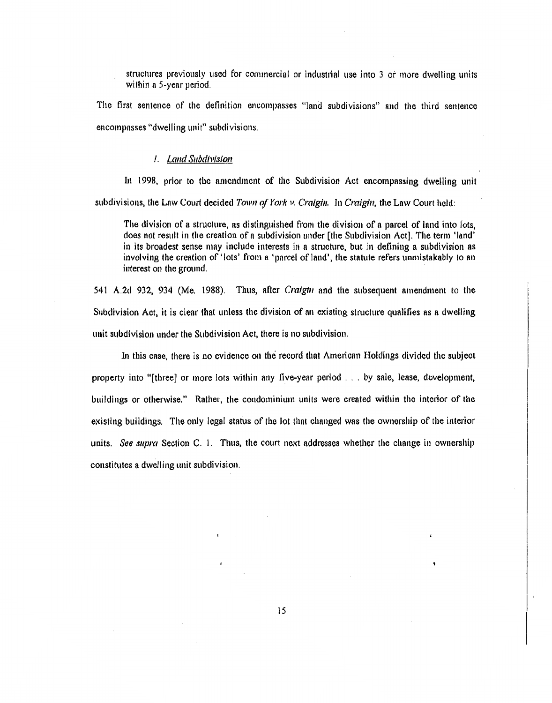structures previously used for commercial or industrial use into 3 or more dwelling units within a 5-year period.

The first sentence of the definition encompasses "land subdivisions" and the third sentence encompasses "dwelling unit" subdivisions.

#### *I. Land Subdivision*

In 1998, prior to the amendment of the Subdivision Act encompassing dwelling unit subdivisions, the Law Court decided *Town of York v. Craigin.* In *Craigin*, the Law Court held:

The division of a structure, as distinguished from the division of a parcel of land into lots, does not result in the creation of a subdivision under [the Subdivision Act]. The term 'land' in its broadest sense may include interests in a structure, but in defining a subdivision as involving the creation of 'lots' from a 'parcel of land', the statute refers unmistakably to an interest on the ground.

541 A.2d 932, 934 (Me. 1988). Thus, afier *Craigin* and the subsequent amendment to the Subdivision Act, it is clear that unless the division of an existing stmcture qualifies as a dwelling unit subdivision under the Subdivision Act, there is no subdivision.

In this case, there is no evidence on the record that American Holdings divided the subject property into "[tbree] or more lots within any five-year period ... by sale, lease, development, buildings or otherwise." Rather, the condominium units were created within the interior of the existing buildings. The only legnl status of the lot that changed was the ownership of the interior units. *See supm* Section C. I. Thus, the court next addresses whether the change in ownership constitutes a dwelling unit subdivision.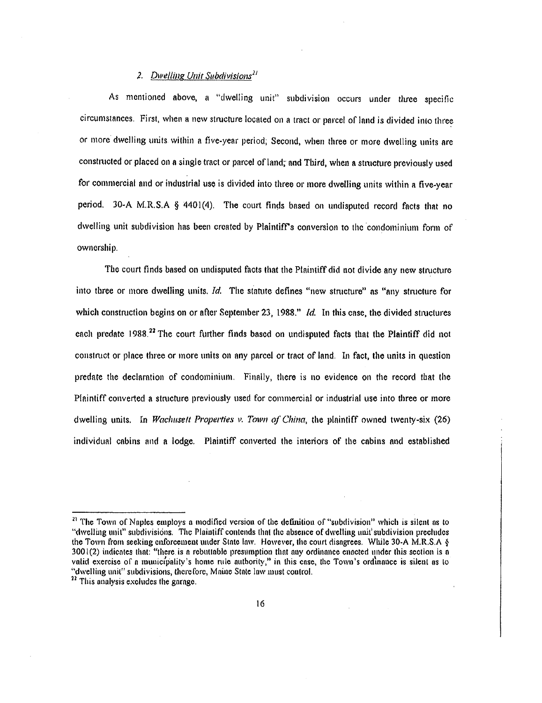## *;. Dwe/liug Unit Subdivislons21*

As mentioned above, a "dwelling unit" subdivision occurs under three specific circumstances. First, when a new structure located on a tract or parcel of land is divided into three or more dwelling units within a five-year period; Second, when three or more dwelling units are constructed or placed on a single tract or parcel of land; and Third, when a structure previously used for commercial and or industrial use is divided into three or more dwelling units within a five-year period. 30-A M.R.S.A § 4401(4). The court finds based on undisputed record facts that no dwelling unit subdivision has been created by Plaintiff's conversion to the condominium form of ownership.

The court finds based on undisputed facts that the Plaintiff did not divide any new structure into tbree or more dwelling units. *!d.* The statute defines "new stmcture" as "any structure for which construction begins on or after September 23, 1988." *Id.* In this case, the divided structures each predate 1988.<sup>22</sup> The court further finds based on undisputed facts that the Plaintiff did not constntct or place three or more units on any parcel or tract of land. In fact, the units in question predate the declaration of condominium. Finally, there is no evidence on the record that the Plaintiff converted a structure previously used for commercial or industrial use into three or more dwelling units. In *Waclwsett Properties v. Town of China,* the plaintiff owned twenty-six (26) individual cabins and a lodge. Plaintiff converted the interiors of the cabins nnd established

<sup>&</sup>lt;sup>21</sup> The Town of Naples employs a modified version of the definition of "subdivision" which is silent as to ''dwelling unit" subdivisions. The Plaintiff contends lhnt the absence of dwelling unit' subdivision precludes the Town from seeking enforcement under Stole low. However, the court disagrees. While 30-A M.R.S.A §  $3001(2)$  indicates that: "there is a rebuttable presumption that any ordinance enacted under this section is a valid exercise of a municipality's home rule authority," in this case, the Town's ordinance is silent as to "dwelling unit" subdivisions, therefore, Maine State law must control.

<sup>&</sup>lt;sup>22</sup> This analysis excludes the garage.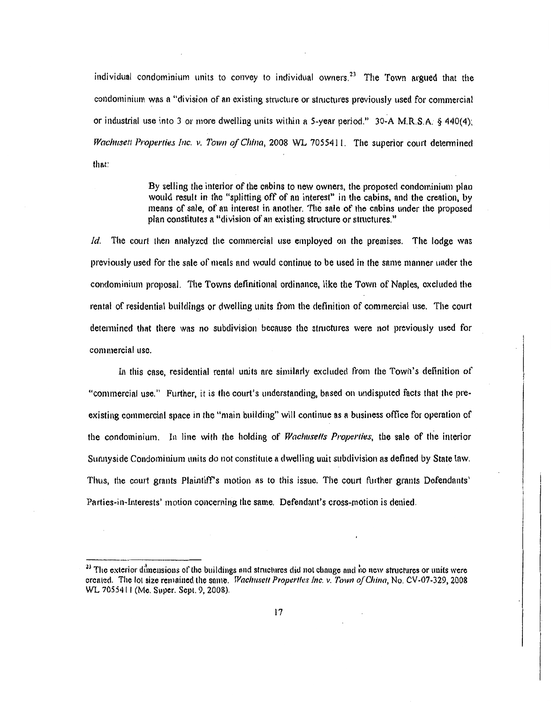individual condominium units to convey to individual owners.<sup>23</sup> The Town argued that the condominium was a "division of an existing structure or stmctures previously used for commercia! or industrial use into 3 or more dwelling units within a S-year period." 30-A M.R.S.A. § 440(4); *Wachusett Properties Inc. v. Town of China, 2008 WL 7055411. The superior court determined* that:

> By selling the interior of the cabins to new owners, the proposed condominium plan would result in the "splitting off of nn interest" in the cabins, and the creation, by means of sale, of an interest in another. The sale of the cabins under the proposed plan constitutes a "division of an existing stmcture or stmctures."

*ld.* The court then analyzed the commercial use employed on the premises. The lodge was previously used for the sale of meals and would continue to be used in the same manner under the condominium proposal. The Towns definitional ordinance, like the Town of Naples, excluded the rental of residential buildings or dwelling units from the definition of commercial use. The court determined that there was no subdivision because the structures were not previously used for commercial usc.

In this case, residential rental units are similarly excluded from the Town's definition of "commercial use." Further, it is the court's understanding, based on undisputed facts that the preexisting commercial space in the "main building" will continue as a business office for operation of the condominium. In line with the holding of *Wachusetts Properties*, the sale of the interior Sunnyside Condominium units do not constitute a dwelling unit subdivision as defined by State law. Thus, the court grants Plaintiff's motion as to this issue. The court further grants Defendants' Parties-in-Interests' motion concerning the same. Defendant's cross-motion is denied.

<sup>&</sup>lt;sup>23</sup> The exterior dimensions of the buildings and structures did not change and no new structures or units were crcnted. The lot size remained the some. *Waclmsefl P1·operlfes Inc. v. Town of China,* No. CV -07-329, 2008 WL 7055411 (Me. Super. Sept. 9, 200&).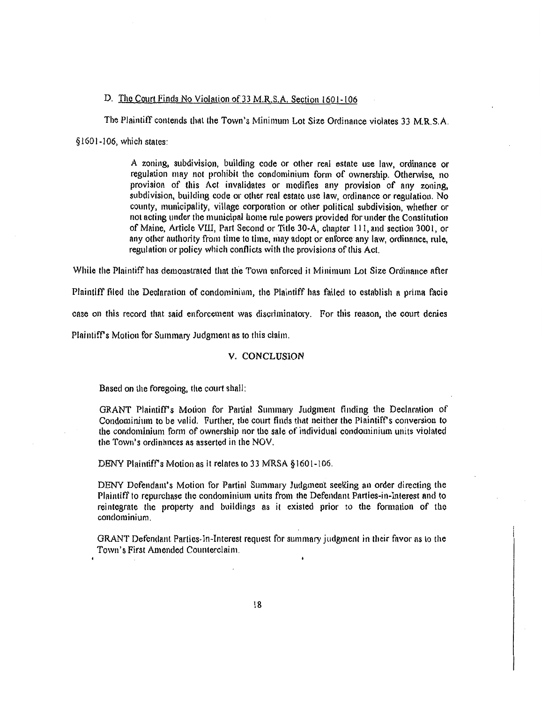### D. The Court Finds No Violation of 33 M.R.S.A. Section 1601-106

The Plaintiff contends that the Town's Minimum Lot Size Ordinance violates 33 M.R.S.A.

§ 1601-106, which states:

A zoning, subdivision, building code or other real estate use law, ordinance or regulation may not prohibit the condominium form of ownership. Otherwise, no provision of this Act invalidates or modifies any provision of any zoning, subdivision, building code or other real estate use law, ordinance or regulation. No county, municipality, village corporation or other political subdivision, whether or not acting under the municipal home rule powers provided for under the Constitution of Maine, Article VIll, Part Second or Title 30-A, chapter Ill, and section 300 l, or any other authority from time to time, may adopt or enforce any law, ordinance, rule, regulation or policy which conflicts with the provisions of this Act.

While the Plaintiff has demonstrated that the Town enforced it Minimum Lot Size Ordinance after

Plaintiff filed the Declaration of condominium, the Plaintiff has failed to establish a prima facie

case on this record that said enforcement was disctiminatory. For this reason, the court denies

Plaintiff's Motion for Summary Judgment as to this claim.

#### V. CONCLUSION

Bnsed on the foregoing, the court shall:

GRANT Plaintiff's Motion for Partin! Summmy Judgment finding the Declarntion of Condominium to be valid. Further, the court finds that neither the Plaintiff's conversion to the condominium form of ownership nor the sale of individual condominium units violated the Town's ordinances as asserted in the NOV.

DENY Plaintiff's Motion as it relates to 33 MRSA  $§ 1601-106$ .

DENY Defendant's Motion for Partin! Summary Judgment seeKing an order directing the Plaintiff to repurchase the condominium units from the Defendant Parties-in-Interest and to reintegrate the property and buildings as it existed prior to the formation of the condominium.

GRANT Defendant Parties-In-Interest request for summary judgment in their favor as to the Town's First Amended Counterclaim.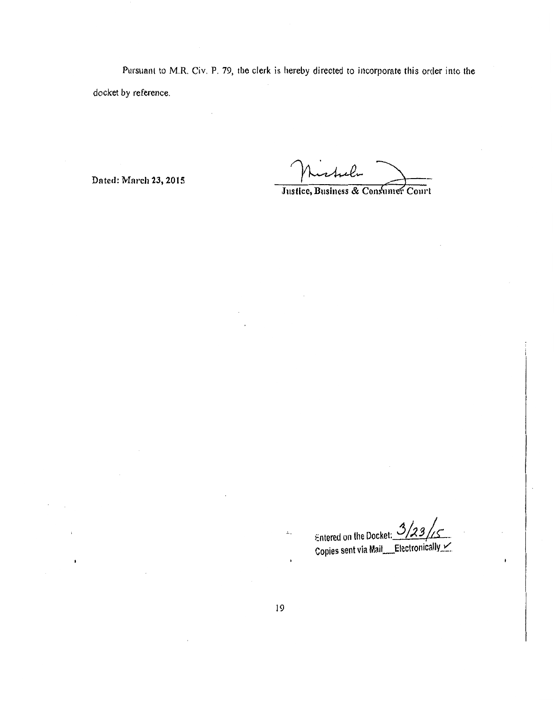Pursuant to M.R. Civ. P. 79, the clerk is hereby directed to incorporate this order into the *docket* by reference.

Dated: March 23, 2015

Justice, Business & Consumer Court

Entered on the Docket: 3/23//<u>5</u><br>Copies sent via Mail\_\_Electronically X.

 $\bar{L}$  .

 $\bullet$